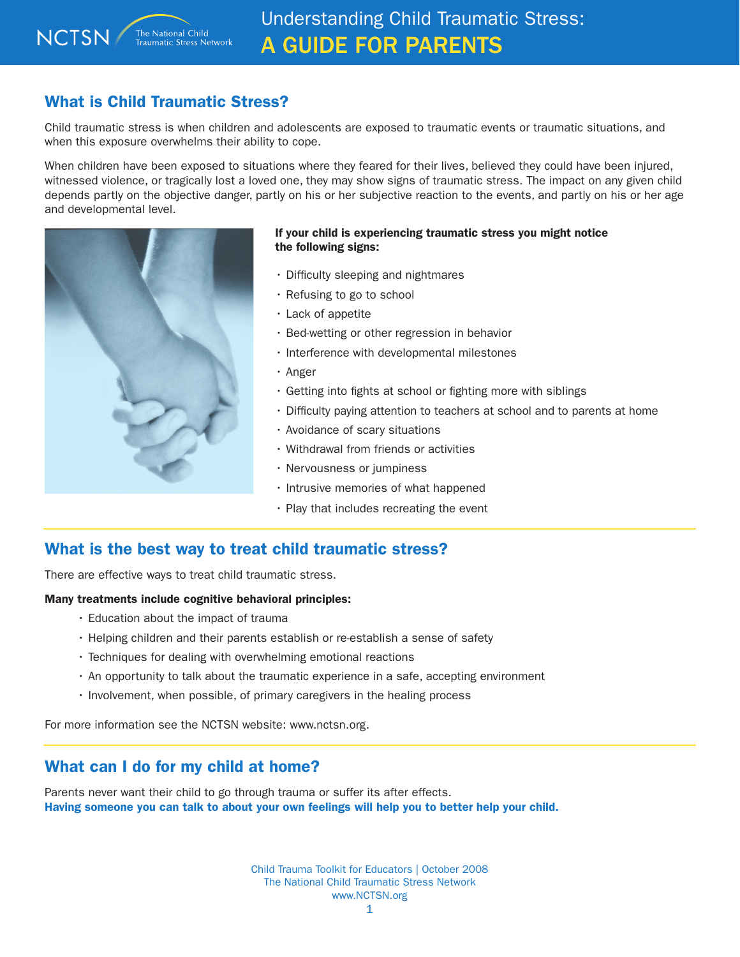# What is Child Traumatic Stress?

Child traumatic stress is when children and adolescents are exposed to traumatic events or traumatic situations, and when this exposure overwhelms their ability to cope.

When children have been exposed to situations where they feared for their lives, believed they could have been injured, witnessed violence, or tragically lost a loved one, they may show signs of traumatic stress. The impact on any given child depends partly on the objective danger, partly on his or her subjective reaction to the events, and partly on his or her age and developmental level.



### If your child is experiencing traumatic stress you might notice the following signs:

- Difficulty sleeping and nightmares
- Refusing to go to school
- Lack of appetite
- Bed-wetting or other regression in behavior
- Interference with developmental milestones
- Anger
- Getting into fights at school or fighting more with siblings
- Difficulty paying attention to teachers at school and to parents at home
- Avoidance of scary situations
- Withdrawal from friends or activities
- Nervousness or jumpiness
- Intrusive memories of what happened
- Play that includes recreating the event

## What is the best way to treat child traumatic stress?

There are effective ways to treat child traumatic stress.

#### Many treatments include cognitive behavioral principles:

- Education about the impact of trauma
- Helping children and their parents establish or re-establish a sense of safety
- Techniques for dealing with overwhelming emotional reactions
- An opportunity to talk about the traumatic experience in a safe, accepting environment
- Involvement, when possible, of primary caregivers in the healing process

For more information see the NCTSN website: www.nctsn.org.

## What can I do for my child at home?

Parents never want their child to go through trauma or suffer its after effects. Having someone you can talk to about your own feelings will help you to better help your child.

> Child Trauma Toolkit for Educators | October 2008 The National Child Traumatic Stress Network www.NCTSN.org